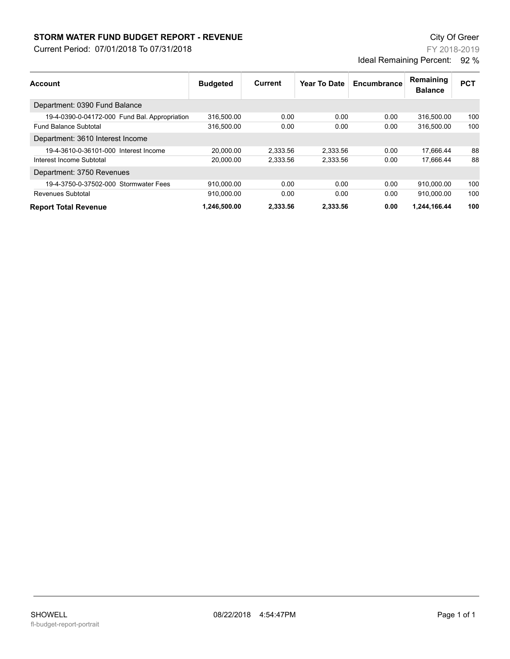## **STORM WATER FUND BUDGET REPORT - REVENUE City Of Greer** City Of Greer

Current Period: 07/01/2018 To 07/31/2018

FY 2018-2019 Ideal Remaining Percent: 92 %

| Account                                       | <b>Budgeted</b> | Current  | <b>Year To Date</b> | Encumbrance | Remaining<br><b>Balance</b> | <b>PCT</b> |
|-----------------------------------------------|-----------------|----------|---------------------|-------------|-----------------------------|------------|
| Department: 0390 Fund Balance                 |                 |          |                     |             |                             |            |
| 19-4-0390-0-04172-000 Fund Bal. Appropriation | 316.500.00      | 0.00     | 0.00                | 0.00        | 316.500.00                  | 100        |
| <b>Fund Balance Subtotal</b>                  | 316,500.00      | 0.00     | 0.00                | 0.00        | 316.500.00                  | 100        |
| Department: 3610 Interest Income              |                 |          |                     |             |                             |            |
| 19-4-3610-0-36101-000 Interest Income         | 20,000.00       | 2,333.56 | 2.333.56            | 0.00        | 17,666.44                   | 88         |
| Interest Income Subtotal                      | 20,000.00       | 2,333.56 | 2,333.56            | 0.00        | 17.666.44                   | 88         |
| Department: 3750 Revenues                     |                 |          |                     |             |                             |            |
| 19-4-3750-0-37502-000 Stormwater Fees         | 910,000.00      | 0.00     | 0.00                | 0.00        | 910,000.00                  | 100        |
| Revenues Subtotal                             | 910.000.00      | 0.00     | 0.00                | 0.00        | 910.000.00                  | 100        |
| <b>Report Total Revenue</b>                   | 1.246.500.00    | 2.333.56 | 2.333.56            | 0.00        | 1,244,166.44                | 100        |